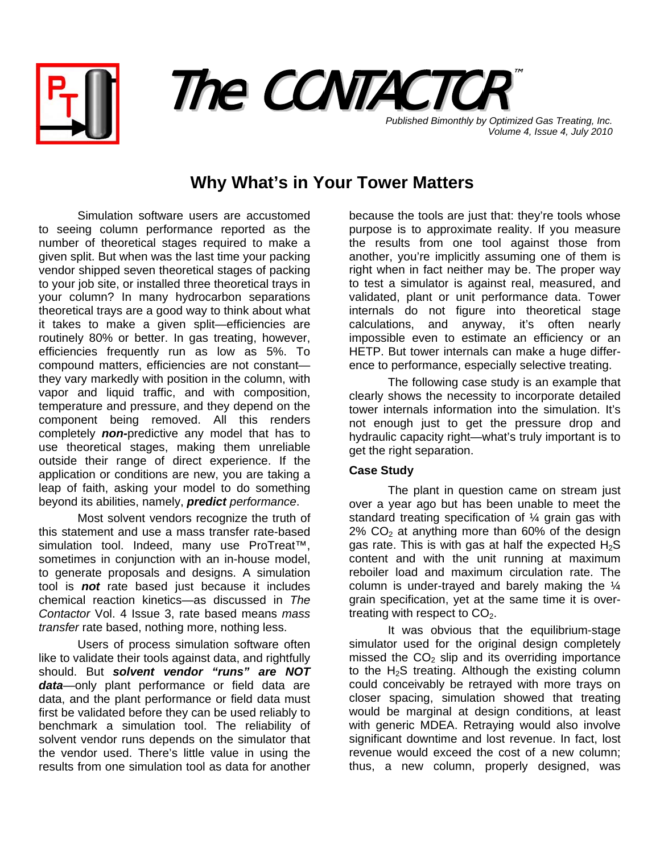



*Volume 4, Issue 4, July 2010*

## **Why What's in Your Tower Matters**

Simulation software users are accustomed to seeing column performance reported as the number of theoretical stages required to make a given split. But when was the last time your packing vendor shipped seven theoretical stages of packing to your job site, or installed three theoretical trays in your column? In many hydrocarbon separations theoretical trays are a good way to think about what it takes to make a given split—efficiencies are routinely 80% or better. In gas treating, however, efficiencies frequently run as low as 5%. To compound matters, efficiencies are not constant they vary markedly with position in the column, with vapor and liquid traffic, and with composition, temperature and pressure, and they depend on the component being removed. All this renders completely *non-*predictive any model that has to use theoretical stages, making them unreliable outside their range of direct experience. If the application or conditions are new, you are taking a leap of faith, asking your model to do something beyond its abilities, namely, *predict performance*.

Most solvent vendors recognize the truth of this statement and use a mass transfer rate-based simulation tool. Indeed, many use ProTreat™, sometimes in conjunction with an in-house model, to generate proposals and designs. A simulation tool is *not* rate based just because it includes chemical reaction kinetics—as discussed in *The Contactor* Vol. 4 Issue 3, rate based means *mass transfer* rate based, nothing more, nothing less.

Users of process simulation software often like to validate their tools against data, and rightfully should. But *solvent vendor "runs" are NOT data*—only plant performance or field data are data, and the plant performance or field data must first be validated before they can be used reliably to benchmark a simulation tool. The reliability of solvent vendor runs depends on the simulator that the vendor used. There's little value in using the results from one simulation tool as data for another

because the tools are just that: they're tools whose purpose is to approximate reality. If you measure the results from one tool against those from another, you're implicitly assuming one of them is right when in fact neither may be. The proper way to test a simulator is against real, measured, and validated, plant or unit performance data. Tower internals do not figure into theoretical stage calculations, and anyway, it's often nearly impossible even to estimate an efficiency or an HETP. But tower internals can make a huge difference to performance, especially selective treating.

The following case study is an example that clearly shows the necessity to incorporate detailed tower internals information into the simulation. It's not enough just to get the pressure drop and hydraulic capacity right—what's truly important is to get the right separation.

## **Case Study**

The plant in question came on stream just over a year ago but has been unable to meet the standard treating specification of  $\frac{1}{4}$  grain gas with  $2\%$  CO<sub>2</sub> at anything more than 60% of the design gas rate. This is with gas at half the expected  $H_2S$ content and with the unit running at maximum reboiler load and maximum circulation rate. The column is under-trayed and barely making the  $\frac{1}{4}$ grain specification, yet at the same time it is overtreating with respect to  $CO<sub>2</sub>$ .

It was obvious that the equilibrium-stage simulator used for the original design completely missed the  $CO<sub>2</sub>$  slip and its overriding importance to the  $H_2S$  treating. Although the existing column could conceivably be retrayed with more trays on closer spacing, simulation showed that treating would be marginal at design conditions, at least with generic MDEA. Retraying would also involve significant downtime and lost revenue. In fact, lost revenue would exceed the cost of a new column; thus, a new column, properly designed, was